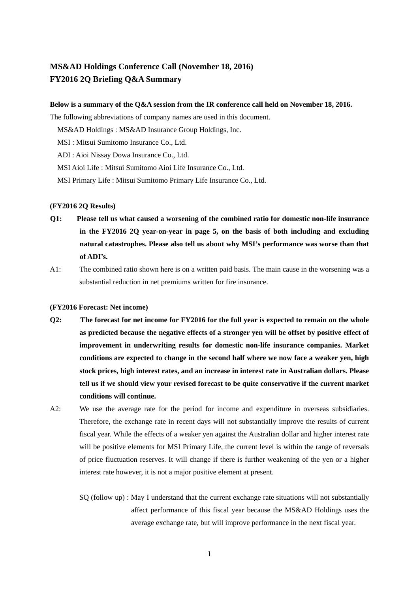# **MS&AD Holdings Conference Call (November 18, 2016) FY2016 2Q Briefing Q&A Summary**

# **Below is a summary of the Q&A session from the IR conference call held on November 18, 2016.**

The following abbreviations of company names are used in this document.

MS&AD Holdings : MS&AD Insurance Group Holdings, Inc.

MSI : Mitsui Sumitomo Insurance Co., Ltd.

ADI : Aioi Nissay Dowa Insurance Co., Ltd.

MSI Aioi Life : Mitsui Sumitomo Aioi Life Insurance Co., Ltd.

MSI Primary Life : Mitsui Sumitomo Primary Life Insurance Co., Ltd.

# **(FY2016 2Q Results)**

- **Q1: Please tell us what caused a worsening of the combined ratio for domestic non-life insurance in the FY2016 2Q year-on-year in page 5, on the basis of both including and excluding natural catastrophes. Please also tell us about why MSI's performance was worse than that of ADI's.**
- A1: The combined ratio shown here is on a written paid basis. The main cause in the worsening was a substantial reduction in net premiums written for fire insurance.

### **(FY2016 Forecast: Net income)**

- **Q2: The forecast for net income for FY2016 for the full year is expected to remain on the whole as predicted because the negative effects of a stronger yen will be offset by positive effect of improvement in underwriting results for domestic non-life insurance companies. Market conditions are expected to change in the second half where we now face a weaker yen, high stock prices, high interest rates, and an increase in interest rate in Australian dollars. Please tell us if we should view your revised forecast to be quite conservative if the current market conditions will continue.**
- A2: We use the average rate for the period for income and expenditure in overseas subsidiaries. Therefore, the exchange rate in recent days will not substantially improve the results of current fiscal year. While the effects of a weaker yen against the Australian dollar and higher interest rate will be positive elements for MSI Primary Life, the current level is within the range of reversals of price fluctuation reserves. It will change if there is further weakening of the yen or a higher interest rate however, it is not a major positive element at present.
	- SQ (follow up) : May I understand that the current exchange rate situations will not substantially affect performance of this fiscal year because the MS&AD Holdings uses the average exchange rate, but will improve performance in the next fiscal year.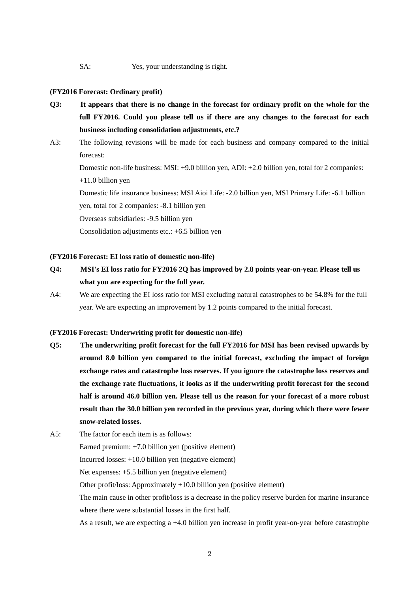SA: Yes, your understanding is right.

#### **(FY2016 Forecast: Ordinary profit)**

- **Q3: It appears that there is no change in the forecast for ordinary profit on the whole for the full FY2016. Could you please tell us if there are any changes to the forecast for each business including consolidation adjustments, etc.?**
- A3: The following revisions will be made for each business and company compared to the initial forecast: Domestic non-life business: MSI: +9.0 billion yen, ADI: +2.0 billion yen, total for 2 companies: +11.0 billion yen Domestic life insurance business: MSI Aioi Life: -2.0 billion yen, MSI Primary Life: -6.1 billion yen, total for 2 companies: -8.1 billion yen Overseas subsidiaries: -9.5 billion yen Consolidation adjustments etc.: +6.5 billion yen

# **(FY2016 Forecast: EI loss ratio of domestic non-life)**

- **Q4: MSI's EI loss ratio for FY2016 2Q has improved by 2.8 points year-on-year. Please tell us what you are expecting for the full year.**
- A4: We are expecting the EI loss ratio for MSI excluding natural catastrophes to be 54.8% for the full year. We are expecting an improvement by 1.2 points compared to the initial forecast.

**(FY2016 Forecast: Underwriting profit for domestic non-life)**

- **Q5: The underwriting profit forecast for the full FY2016 for MSI has been revised upwards by around 8.0 billion yen compared to the initial forecast, excluding the impact of foreign exchange rates and catastrophe loss reserves. If you ignore the catastrophe loss reserves and the exchange rate fluctuations, it looks as if the underwriting profit forecast for the second half is around 46.0 billion yen. Please tell us the reason for your forecast of a more robust result than the 30.0 billion yen recorded in the previous year, during which there were fewer snow-related losses.**
- A5: The factor for each item is as follows: Earned premium: +7.0 billion yen (positive element) Incurred losses: +10.0 billion yen (negative element) Net expenses: +5.5 billion yen (negative element) Other profit/loss: Approximately +10.0 billion yen (positive element) The main cause in other profit/loss is a decrease in the policy reserve burden for marine insurance where there were substantial losses in the first half.

As a result, we are expecting a +4.0 billion yen increase in profit year-on-year before catastrophe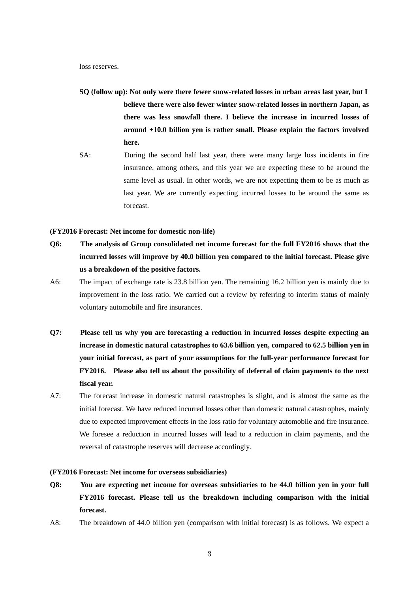loss reserves.

- **SQ (follow up): Not only were there fewer snow-related losses in urban areas last year, but I believe there were also fewer winter snow-related losses in northern Japan, as there was less snowfall there. I believe the increase in incurred losses of around +10.0 billion yen is rather small. Please explain the factors involved here.**
- SA: During the second half last year, there were many large loss incidents in fire insurance, among others, and this year we are expecting these to be around the same level as usual. In other words, we are not expecting them to be as much as last year. We are currently expecting incurred losses to be around the same as forecast.

### **(FY2016 Forecast: Net income for domestic non-life)**

- **Q6: The analysis of Group consolidated net income forecast for the full FY2016 shows that the incurred losses will improve by 40.0 billion yen compared to the initial forecast. Please give us a breakdown of the positive factors.**
- A6: The impact of exchange rate is 23.8 billion yen. The remaining 16.2 billion yen is mainly due to improvement in the loss ratio. We carried out a review by referring to interim status of mainly voluntary automobile and fire insurances.
- **Q7: Please tell us why you are forecasting a reduction in incurred losses despite expecting an increase in domestic natural catastrophes to 63.6 billion yen, compared to 62.5 billion yen in your initial forecast, as part of your assumptions for the full-year performance forecast for FY2016. Please also tell us about the possibility of deferral of claim payments to the next fiscal year.**
- A7: The forecast increase in domestic natural catastrophes is slight, and is almost the same as the initial forecast. We have reduced incurred losses other than domestic natural catastrophes, mainly due to expected improvement effects in the loss ratio for voluntary automobile and fire insurance. We foresee a reduction in incurred losses will lead to a reduction in claim payments, and the reversal of catastrophe reserves will decrease accordingly.

#### **(FY2016 Forecast: Net income for overseas subsidiaries)**

- **Q8: You are expecting net income for overseas subsidiaries to be 44.0 billion yen in your full FY2016 forecast. Please tell us the breakdown including comparison with the initial forecast.**
- A8: The breakdown of 44.0 billion yen (comparison with initial forecast) is as follows. We expect a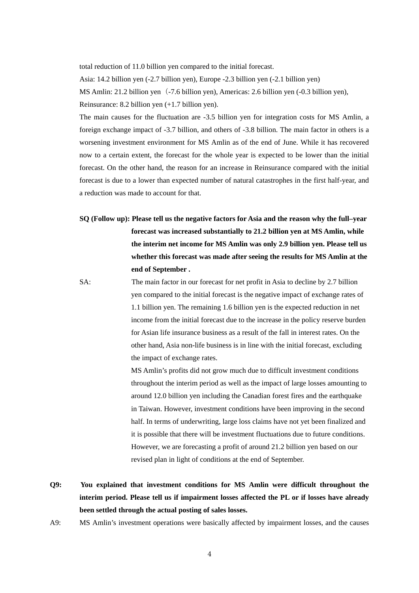total reduction of 11.0 billion yen compared to the initial forecast.

Asia: 14.2 billion yen (-2.7 billion yen), Europe -2.3 billion yen (-2.1 billion yen)

MS Amlin: 21.2 billion yen(-7.6 billion yen), Americas: 2.6 billion yen (-0.3 billion yen),

Reinsurance: 8.2 billion yen (+1.7 billion yen).

The main causes for the fluctuation are -3.5 billion yen for integration costs for MS Amlin, a foreign exchange impact of -3.7 billion, and others of -3.8 billion. The main factor in others is a worsening investment environment for MS Amlin as of the end of June. While it has recovered now to a certain extent, the forecast for the whole year is expected to be lower than the initial forecast. On the other hand, the reason for an increase in Reinsurance compared with the initial forecast is due to a lower than expected number of natural catastrophes in the first half-year, and a reduction was made to account for that.

 **SQ (Follow up): Please tell us the negative factors for Asia and the reason why the full–year forecast was increased substantially to 21.2 billion yen at MS Amlin, while the interim net income for MS Amlin was only 2.9 billion yen. Please tell us whether this forecast was made after seeing the results for MS Amlin at the end of September .**

 SA: The main factor in our forecast for net profit in Asia to decline by 2.7 billion yen compared to the initial forecast is the negative impact of exchange rates of 1.1 billion yen. The remaining 1.6 billion yen is the expected reduction in net income from the initial forecast due to the increase in the policy reserve burden for Asian life insurance business as a result of the fall in interest rates. On the other hand, Asia non-life business is in line with the initial forecast, excluding the impact of exchange rates.

> MS Amlin's profits did not grow much due to difficult investment conditions throughout the interim period as well as the impact of large losses amounting to around 12.0 billion yen including the Canadian forest fires and the earthquake in Taiwan. However, investment conditions have been improving in the second half. In terms of underwriting, large loss claims have not yet been finalized and it is possible that there will be investment fluctuations due to future conditions. However, we are forecasting a profit of around 21.2 billion yen based on our revised plan in light of conditions at the end of September.

- **Q9: You explained that investment conditions for MS Amlin were difficult throughout the interim period. Please tell us if impairment losses affected the PL or if losses have already been settled through the actual posting of sales losses.**
- A9: MS Amlin's investment operations were basically affected by impairment losses, and the causes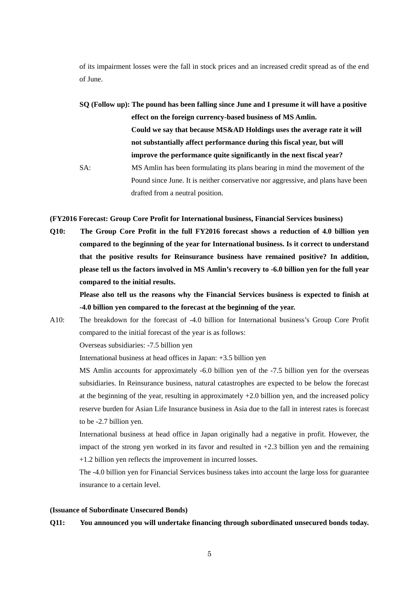of its impairment losses were the fall in stock prices and an increased credit spread as of the end of June.

**SQ (Follow up): The pound has been falling since June and I presume it will have a positive effect on the foreign currency-based business of MS Amlin. Could we say that because MS&AD Holdings uses the average rate it will not substantially affect performance during this fiscal year, but will improve the performance quite significantly in the next fiscal year?**  SA: MS Amlin has been formulating its plans bearing in mind the movement of the Pound since June. It is neither conservative nor aggressive, and plans have been drafted from a neutral position.

**(FY2016 Forecast: Group Core Profit for International business, Financial Services business)**

**Q10: The Group Core Profit in the full FY2016 forecast shows a reduction of 4.0 billion yen compared to the beginning of the year for International business. Is it correct to understand that the positive results for Reinsurance business have remained positive? In addition, please tell us the factors involved in MS Amlin's recovery to -6.0 billion yen for the full year compared to the initial results.** 

 **Please also tell us the reasons why the Financial Services business is expected to finish at -4.0 billion yen compared to the forecast at the beginning of the year.** 

A10: The breakdown for the forecast of -4.0 billion for International business's Group Core Profit compared to the initial forecast of the year is as follows:

Overseas subsidiaries: -7.5 billion yen

International business at head offices in Japan: +3.5 billion yen

MS Amlin accounts for approximately -6.0 billion yen of the -7.5 billion yen for the overseas subsidiaries. In Reinsurance business, natural catastrophes are expected to be below the forecast at the beginning of the year, resulting in approximately +2.0 billion yen, and the increased policy reserve burden for Asian Life Insurance business in Asia due to the fall in interest rates is forecast to be -2.7 billion yen.

International business at head office in Japan originally had a negative in profit. However, the impact of the strong yen worked in its favor and resulted in  $+2.3$  billion yen and the remaining +1.2 billion yen reflects the improvement in incurred losses.

The -4.0 billion yen for Financial Services business takes into account the large loss for guarantee insurance to a certain level.

#### **(Issuance of Subordinate Unsecured Bonds)**

# **Q11: You announced you will undertake financing through subordinated unsecured bonds today.**